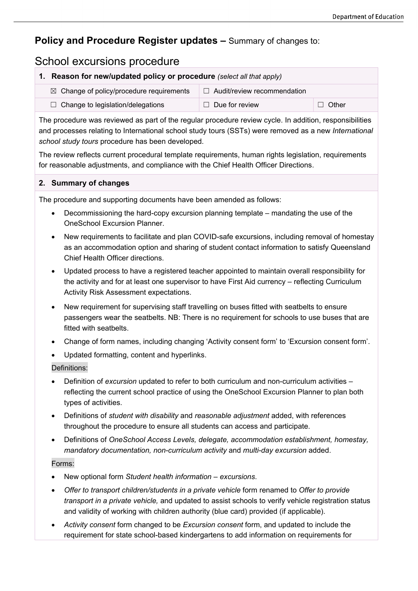## **Policy and Procedure Register updates –** Summary of changes to:

# School excursions procedure

|                                                                                                         | Reason for new/updated policy or procedure (select all that apply) |                                    |         |  |
|---------------------------------------------------------------------------------------------------------|--------------------------------------------------------------------|------------------------------------|---------|--|
|                                                                                                         | $\boxtimes$ Change of policy/procedure requirements                | $\Box$ Audit/review recommendation |         |  |
|                                                                                                         | $\Box$ Change to legislation/delegations                           | $\Box$ Due for review              | J Other |  |
| The procedure was reviewed as part of the regular procedure review cycle. In addition, responsibilities |                                                                    |                                    |         |  |

and processes relating to International school study tours (SSTs) were removed as a new *International school study tours* procedure has been developed.

The review reflects current procedural template requirements, human rights legislation, requirements for reasonable adjustments, and compliance with the Chief Health Officer Directions.

#### **2. Summary of changes**

The procedure and supporting documents have been amended as follows:

- Decommissioning the hard-copy excursion planning template mandating the use of the OneSchool Excursion Planner.
- New requirements to facilitate and plan COVID-safe excursions, including removal of homestay as an accommodation option and sharing of student contact information to satisfy Queensland Chief Health Officer directions.
- Updated process to have a registered teacher appointed to maintain overall responsibility for the activity and for at least one supervisor to have First Aid currency – reflecting Curriculum Activity Risk Assessment expectations.
- New requirement for supervising staff travelling on buses fitted with seatbelts to ensure passengers wear the seatbelts. NB: There is no requirement for schools to use buses that are fitted with seatbelts.
- Change of form names, including changing 'Activity consent form' to 'Excursion consent form'.
- Updated formatting, content and hyperlinks.

#### Definitions:

- Definition of *excursion* updated to refer to both curriculum and non-curriculum activities reflecting the current school practice of using the OneSchool Excursion Planner to plan both types of activities.
- Definitions of *student with disability* and *reasonable adjustment* added, with references throughout the procedure to ensure all students can access and participate.
- Definitions of *OneSchool Access Levels, delegate, accommodation establishment, homestay, mandatory documentation, non-curriculum activity* and *multi-day excursion* added.

### Forms:

- New optional form *Student health information – excursions*.
- *Offer to transport children/students in a private vehicle* form renamed to *Offer to provide transport in a private vehicle,* and updated to assist schools to verify vehicle registration status and validity of working with children authority (blue card) provided (if applicable).
- *Activity consent* form changed to be *Excursion consent* form, and updated to include the requirement for state school-based kindergartens to add information on requirements for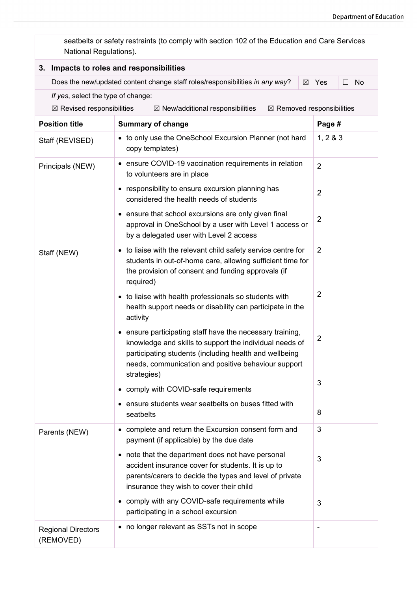| seatbelts or safety restraints (to comply with section 102 of the Education and Care Services<br>National Regulations). |                                                                                                                                                                                                                                       |                     |  |  |  |  |
|-------------------------------------------------------------------------------------------------------------------------|---------------------------------------------------------------------------------------------------------------------------------------------------------------------------------------------------------------------------------------|---------------------|--|--|--|--|
| 3. Impacts to roles and responsibilities                                                                                |                                                                                                                                                                                                                                       |                     |  |  |  |  |
|                                                                                                                         | Does the new/updated content change staff roles/responsibilities in any way?<br>$\boxtimes$                                                                                                                                           | No<br>Yes<br>$\Box$ |  |  |  |  |
|                                                                                                                         | If yes, select the type of change:                                                                                                                                                                                                    |                     |  |  |  |  |
|                                                                                                                         | $\boxtimes$ Removed responsibilities<br>$\boxtimes$ Revised responsibilities<br>$\boxtimes$ New/additional responsibilities                                                                                                           |                     |  |  |  |  |
| <b>Position title</b>                                                                                                   | <b>Summary of change</b>                                                                                                                                                                                                              | Page #              |  |  |  |  |
| Staff (REVISED)                                                                                                         | • to only use the OneSchool Excursion Planner (not hard<br>copy templates)                                                                                                                                                            | 1, 283              |  |  |  |  |
| Principals (NEW)                                                                                                        | • ensure COVID-19 vaccination requirements in relation<br>to volunteers are in place                                                                                                                                                  | $\overline{2}$      |  |  |  |  |
|                                                                                                                         | • responsibility to ensure excursion planning has<br>considered the health needs of students                                                                                                                                          | $\overline{2}$      |  |  |  |  |
|                                                                                                                         | • ensure that school excursions are only given final<br>approval in OneSchool by a user with Level 1 access or<br>by a delegated user with Level 2 access                                                                             | 2                   |  |  |  |  |
| Staff (NEW)                                                                                                             | • to liaise with the relevant child safety service centre for<br>students in out-of-home care, allowing sufficient time for<br>the provision of consent and funding approvals (if<br>required)                                        | 2                   |  |  |  |  |
|                                                                                                                         | • to liaise with health professionals so students with<br>health support needs or disability can participate in the<br>activity                                                                                                       | $\overline{2}$      |  |  |  |  |
|                                                                                                                         | • ensure participating staff have the necessary training,<br>knowledge and skills to support the individual needs of<br>participating students (including health and wellbeing<br>needs, communication and positive behaviour support | 2                   |  |  |  |  |
|                                                                                                                         | strategies)<br>• comply with COVID-safe requirements                                                                                                                                                                                  | 3                   |  |  |  |  |
|                                                                                                                         | • ensure students wear seatbelts on buses fitted with<br>seatbelts                                                                                                                                                                    | 8                   |  |  |  |  |
| Parents (NEW)                                                                                                           | • complete and return the Excursion consent form and<br>payment (if applicable) by the due date                                                                                                                                       | 3                   |  |  |  |  |
|                                                                                                                         | • note that the department does not have personal<br>accident insurance cover for students. It is up to<br>parents/carers to decide the types and level of private<br>insurance they wish to cover their child                        | 3                   |  |  |  |  |
|                                                                                                                         | • comply with any COVID-safe requirements while<br>participating in a school excursion                                                                                                                                                | 3                   |  |  |  |  |
| <b>Regional Directors</b><br>(REMOVED)                                                                                  | • no longer relevant as SSTs not in scope                                                                                                                                                                                             | $\blacksquare$      |  |  |  |  |